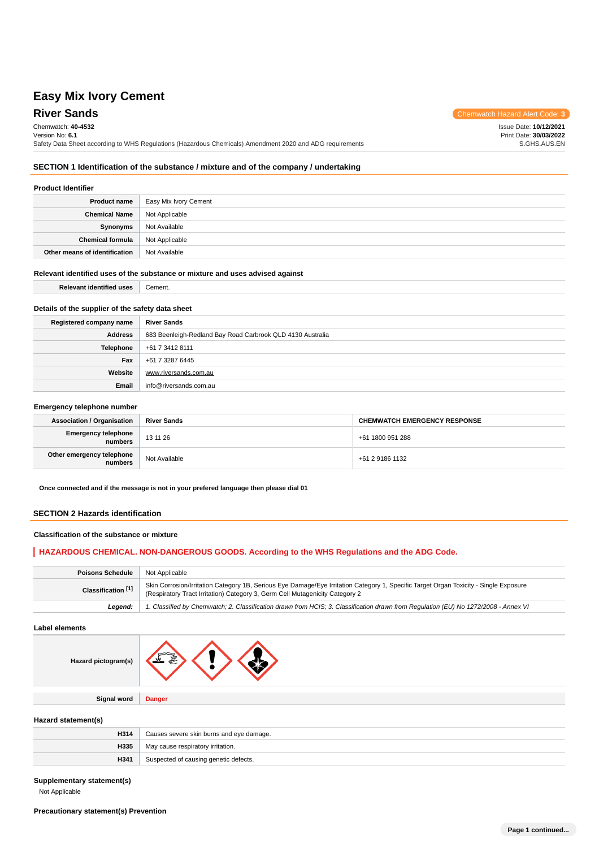**River Sands** Chemwatch Hazard Alert Code: 3 Chemwatch: **40-4532** Version No: **6.1** Safety Data Sheet according to WHS Regulations (Hazardous Chemicals) Amendment 2020 and ADG requirements Issue Date: **10/12/2021** Print Date: **30/03/2022** S.GHS.AUS.EN

# **SECTION 1 Identification of the substance / mixture and of the company / undertaking**

### **Product Identifier**

| <b>Product name</b>           | Easy Mix Ivory Cement |
|-------------------------------|-----------------------|
| <b>Chemical Name</b>          | Not Applicable        |
| Synonyms                      | Not Available         |
| <b>Chemical formula</b>       | Not Applicable        |
| Other means of identification | Not Available         |

### **Relevant identified uses of the substance or mixture and uses advised against**

**Relevant identified uses** Cement.

# **Details of the supplier of the safety data sheet**

| Registered company name | <b>River Sands</b>                                         |  |  |
|-------------------------|------------------------------------------------------------|--|--|
| <b>Address</b>          | 683 Beenleigh-Redland Bay Road Carbrook QLD 4130 Australia |  |  |
| Telephone               | +61 7 3412 8111                                            |  |  |
| Fax                     | +61 7 3287 6445                                            |  |  |
| Website                 | www.riversands.com.au                                      |  |  |
| Email                   | info@riversands.com.au                                     |  |  |

#### **Emergency telephone number**

| <b>Association / Organisation</b>    | <b>River Sands</b> | <b>CHEMWATCH EMERGENCY RESPONSE</b> |
|--------------------------------------|--------------------|-------------------------------------|
| Emergency telephone<br>numbers       | 13 11 26           | +61 1800 951 288                    |
| Other emergency telephone<br>numbers | Not Available      | +61 2 9186 1132                     |

**Once connected and if the message is not in your prefered language then please dial 01**

### **SECTION 2 Hazards identification**

### **Classification of the substance or mixture**

## **HAZARDOUS CHEMICAL. NON-DANGEROUS GOODS. According to the WHS Regulations and the ADG Code.**

| <b>Poisons Schedule</b> | Not Applicable                                                                                                                                                                                                        |  |  |
|-------------------------|-----------------------------------------------------------------------------------------------------------------------------------------------------------------------------------------------------------------------|--|--|
| Classification [1]      | Skin Corrosion/Irritation Category 1B, Serious Eye Damage/Eye Irritation Category 1, Specific Target Organ Toxicity - Single Exposure<br>(Respiratory Tract Irritation) Category 3, Germ Cell Mutagenicity Category 2 |  |  |
| Leaend:                 | 1. Classified by Chemwatch; 2. Classification drawn from HCIS; 3. Classification drawn from Requlation (EU) No 1272/2008 - Annex VI                                                                                   |  |  |

**Label elements**

| Hazard pictogram(s) |               |
|---------------------|---------------|
|                     |               |
| <b>Signal word</b>  | <b>Danger</b> |
|                     |               |

### **Hazard statement(s)**

| H314 | Causes severe skin burns and eye damage. |  |
|------|------------------------------------------|--|
| H335 | May cause respiratory irritation.        |  |
| H341 | Suspected of causing genetic defects.    |  |

#### **Supplementary statement(s)**

Not Applicable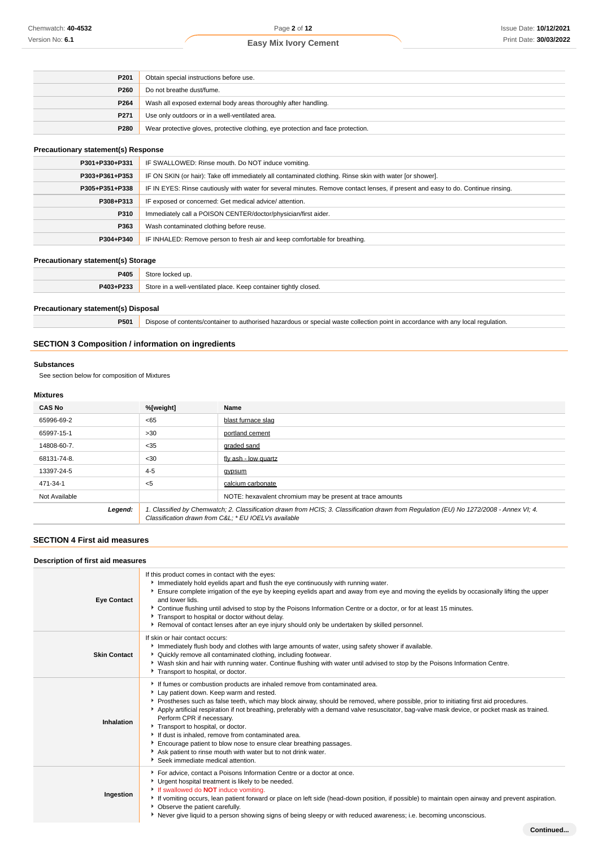| P <sub>201</sub>                                                                         | Obtain special instructions before use.                         |  |
|------------------------------------------------------------------------------------------|-----------------------------------------------------------------|--|
| P260                                                                                     | Do not breathe dust/fume.                                       |  |
| P264                                                                                     | Wash all exposed external body areas thoroughly after handling. |  |
| P271                                                                                     | Use only outdoors or in a well-ventilated area.                 |  |
| P280<br>Wear protective gloves, protective clothing, eye protection and face protection. |                                                                 |  |

## **Precautionary statement(s) Response**

| P301+P330+P331 | IF SWALLOWED: Rinse mouth. Do NOT induce vomiting.                                                                               |  |  |
|----------------|----------------------------------------------------------------------------------------------------------------------------------|--|--|
| P303+P361+P353 | IF ON SKIN (or hair): Take off immediately all contaminated clothing. Rinse skin with water [or shower].                         |  |  |
| P305+P351+P338 | IF IN EYES: Rinse cautiously with water for several minutes. Remove contact lenses, if present and easy to do. Continue rinsing. |  |  |
| P308+P313      | IF exposed or concerned: Get medical advice/attention.                                                                           |  |  |
| P310           | Immediately call a POISON CENTER/doctor/physician/first aider.                                                                   |  |  |
| P363           | Wash contaminated clothing before reuse.                                                                                         |  |  |
| P304+P340      | IF INHALED: Remove person to fresh air and keep comfortable for breathing.                                                       |  |  |

### **Precautionary statement(s) Storage**

| P405      | Store locked up.                                                 |  |
|-----------|------------------------------------------------------------------|--|
| P403+P233 | Store in a well-ventilated place. Keep container tightly closed. |  |
|           |                                                                  |  |

### **Precautionary statement(s) Disposal**

**P501** Dispose of contents/container to authorised hazardous or special waste collection point in accordance with any local regulation.

# **SECTION 3 Composition / information on ingredients**

#### **Substances**

See section below for composition of Mixtures

### **Mixtures**

| <b>CAS No</b> | %[weight]                                                                                                                                                                                      | Name                                                      |
|---------------|------------------------------------------------------------------------------------------------------------------------------------------------------------------------------------------------|-----------------------------------------------------------|
| 65996-69-2    | < 65                                                                                                                                                                                           | blast furnace slag                                        |
| 65997-15-1    | >30                                                                                                                                                                                            | portland cement                                           |
| 14808-60-7.   | $35$                                                                                                                                                                                           | graded sand                                               |
| 68131-74-8.   | $30$                                                                                                                                                                                           | fly ash - low quartz                                      |
| 13397-24-5    | $4 - 5$                                                                                                                                                                                        | avpsum                                                    |
| 471-34-1      | $<$ 5                                                                                                                                                                                          | calcium carbonate                                         |
| Not Available |                                                                                                                                                                                                | NOTE: hexavalent chromium may be present at trace amounts |
| Legend:       | 1. Classified by Chemwatch; 2. Classification drawn from HCIS; 3. Classification drawn from Regulation (EU) No 1272/2008 - Annex VI; 4.<br>Classification drawn from C&L * EU IOELVs available |                                                           |

## **SECTION 4 First aid measures**

#### **Description of first aid measures**

| <b>Eye Contact</b>  | If this product comes in contact with the eyes:<br>Immediately hold eyelids apart and flush the eye continuously with running water.<br>Ensure complete irrigation of the eye by keeping eyelids apart and away from eye and moving the eyelids by occasionally lifting the upper<br>and lower lids.<br>▶ Continue flushing until advised to stop by the Poisons Information Centre or a doctor, or for at least 15 minutes.<br>Transport to hospital or doctor without delay.<br>▶ Removal of contact lenses after an eye injury should only be undertaken by skilled personnel.                                                                                                                                    |
|---------------------|----------------------------------------------------------------------------------------------------------------------------------------------------------------------------------------------------------------------------------------------------------------------------------------------------------------------------------------------------------------------------------------------------------------------------------------------------------------------------------------------------------------------------------------------------------------------------------------------------------------------------------------------------------------------------------------------------------------------|
| <b>Skin Contact</b> | If skin or hair contact occurs:<br>Immediately flush body and clothes with large amounts of water, using safety shower if available.<br>• Quickly remove all contaminated clothing, including footwear.<br>▶ Wash skin and hair with running water. Continue flushing with water until advised to stop by the Poisons Information Centre.<br>Transport to hospital, or doctor.                                                                                                                                                                                                                                                                                                                                       |
| Inhalation          | If fumes or combustion products are inhaled remove from contaminated area.<br>Lay patient down. Keep warm and rested.<br>▶ Prostheses such as false teeth, which may block airway, should be removed, where possible, prior to initiating first aid procedures.<br>Apply artificial respiration if not breathing, preferably with a demand valve resuscitator, bag-valve mask device, or pocket mask as trained.<br>Perform CPR if necessary.<br>Transport to hospital, or doctor.<br>If dust is inhaled, remove from contaminated area.<br>Encourage patient to blow nose to ensure clear breathing passages.<br>Ask patient to rinse mouth with water but to not drink water.<br>Seek immediate medical attention. |
| Ingestion           | For advice, contact a Poisons Information Centre or a doctor at once.<br>• Urgent hospital treatment is likely to be needed.<br>If swallowed do <b>NOT</b> induce vomiting.<br>If vomiting occurs, lean patient forward or place on left side (head-down position, if possible) to maintain open airway and prevent aspiration.<br>• Observe the patient carefully.<br>► Never give liquid to a person showing signs of being sleepy or with reduced awareness; i.e. becoming unconscious.                                                                                                                                                                                                                           |
|                     | Continued                                                                                                                                                                                                                                                                                                                                                                                                                                                                                                                                                                                                                                                                                                            |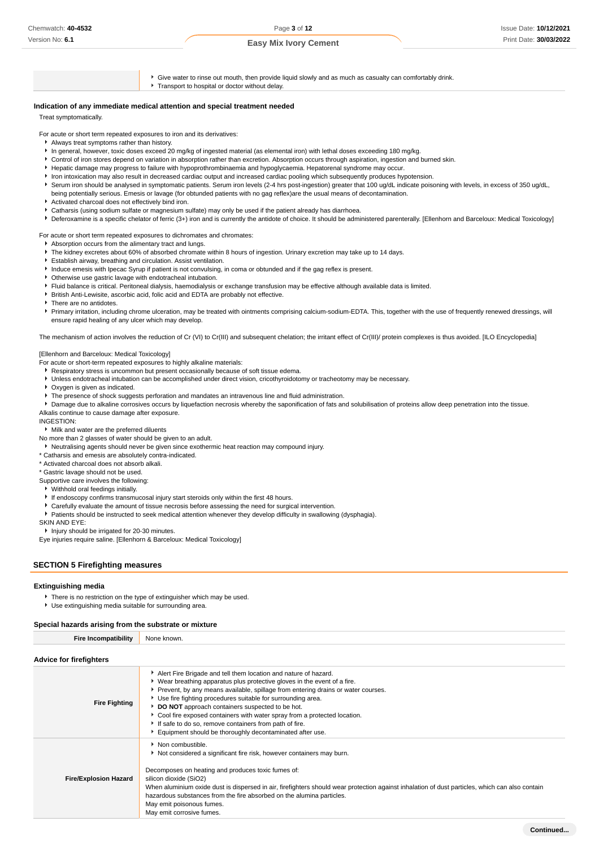# Page **3** of **12**

### **Easy Mix Ivory Cement**

 $\blacktriangleright$  Give water to rinse out mouth, then provide liquid slowly and as much as casualty can comfortably drink. Transport to hospital or doctor without delay. **Indication of any immediate medical attention and special treatment needed**

Treat symptomatically.

For acute or short term repeated exposures to iron and its derivatives:

- Always treat symptoms rather than history.
- In general, however, toxic doses exceed 20 mg/kg of ingested material (as elemental iron) with lethal doses exceeding 180 mg/kg.
- Control of iron stores depend on variation in absorption rather than excretion. Absorption occurs through aspiration, ingestion and burned skin.
- Hepatic damage may progress to failure with hypoprothrombinaemia and hypoglycaemia. Hepatorenal syndrome may occur.
- Iron intoxication may also result in decreased cardiac output and increased cardiac pooling which subsequently produces hypotension.
- Serum iron should be analysed in symptomatic patients. Serum iron levels (2-4 hrs post-ingestion) greater that 100 ug/dL indicate poisoning with levels, in excess of 350 ug/dL. being potentially serious. Emesis or lavage (for obtunded patients with no gag reflex)are the usual means of decontamination.
- Activated charcoal does not effectively bind iron.
- Catharsis (using sodium sulfate or magnesium sulfate) may only be used if the patient already has diarrhoea.
- Deferoxamine is a specific chelator of ferric (3+) iron and is currently the antidote of choice. It should be administered parenterally. [Ellenhorn and Barceloux: Medical Toxicology]

For acute or short term repeated exposures to dichromates and chromates:

- Absorption occurs from the alimentary tract and lungs.
- The kidney excretes about 60% of absorbed chromate within 8 hours of ingestion. Urinary excretion may take up to 14 days.
- Establish airway, breathing and circulation. Assist ventilation.
- Induce emesis with Ipecac Syrup if patient is not convulsing, in coma or obtunded and if the gag reflex is present.
- Otherwise use gastric lavage with endotracheal intubation.
- Fluid balance is critical. Peritoneal dialysis, haemodialysis or exchange transfusion may be effective although available data is limited.
- British Anti-Lewisite, ascorbic acid, folic acid and EDTA are probably not effective.
- There are no antidotes.
- Primary irritation, including chrome ulceration, may be treated with ointments comprising calcium-sodium-EDTA. This, together with the use of frequently renewed dressings, will ensure rapid healing of any ulcer which may develop.

The mechanism of action involves the reduction of Cr (VI) to Cr(III) and subsequent chelation; the irritant effect of Cr(III)/ protein complexes is thus avoided. [ILO Encyclopedia]

#### [Ellenhorn and Barceloux: Medical Toxicology]

- For acute or short-term repeated exposures to highly alkaline materials:
- Respiratory stress is uncommon but present occasionally because of soft tissue edema.
- Unless endotracheal intubation can be accomplished under direct vision, cricothyroidotomy or tracheotomy may be necessary.
- Oxygen is given as indicated.
- The presence of shock suggests perforation and mandates an intravenous line and fluid administration.

Damage due to alkaline corrosives occurs by liquefaction necrosis whereby the saponification of fats and solubilisation of proteins allow deep penetration into the tissue. Alkalis continue to cause damage after exposure.

INGESTION:

#### Milk and water are the preferred diluents

- No more than 2 glasses of water should be given to an adult.
- Neutralising agents should never be given since exothermic heat reaction may compound injury.
- \* Catharsis and emesis are absolutely contra-indicated.

\* Activated charcoal does not absorb alkali.

\* Gastric lavage should not be used.

Supportive care involves the following:

- Withhold oral feedings initially.
- If endoscopy confirms transmucosal injury start steroids only within the first 48 hours.
- Carefully evaluate the amount of tissue necrosis before assessing the need for surgical intervention.
- Patients should be instructed to seek medical attention whenever they develop difficulty in swallowing (dysphagia).

SKIN AND EYE:

**Injury should be irrigated for 20-30 minutes.** 

Eye injuries require saline. [Ellenhorn & Barceloux: Medical Toxicology]

#### **SECTION 5 Firefighting measures**

#### **Extinguishing media**

- There is no restriction on the type of extinguisher which may be used.
- Use extinguishing media suitable for surrounding area.

#### **Special hazards arising from the substrate or mixture**

#### **Advice for firefighters**

**Fire Inc** 

| 1.41100111101191110101       |                                                                                                                                                                                                                                                                                                                                                                                                                                                                                                                                                            |
|------------------------------|------------------------------------------------------------------------------------------------------------------------------------------------------------------------------------------------------------------------------------------------------------------------------------------------------------------------------------------------------------------------------------------------------------------------------------------------------------------------------------------------------------------------------------------------------------|
| <b>Fire Fighting</b>         | Alert Fire Brigade and tell them location and nature of hazard.<br>• Wear breathing apparatus plus protective gloves in the event of a fire.<br>▶ Prevent, by any means available, spillage from entering drains or water courses.<br>▶ Use fire fighting procedures suitable for surrounding area.<br>DO NOT approach containers suspected to be hot.<br>• Cool fire exposed containers with water spray from a protected location.<br>If safe to do so, remove containers from path of fire.<br>Equipment should be thoroughly decontaminated after use. |
| <b>Fire/Explosion Hazard</b> | • Non combustible.<br>Not considered a significant fire risk, however containers may burn.<br>Decomposes on heating and produces toxic fumes of:<br>silicon dioxide (SiO2)<br>When aluminium oxide dust is dispersed in air, firefighters should wear protection against inhalation of dust particles, which can also contain<br>hazardous substances from the fire absorbed on the alumina particles.<br>May emit poisonous fumes.<br>May emit corrosive fumes.                                                                                           |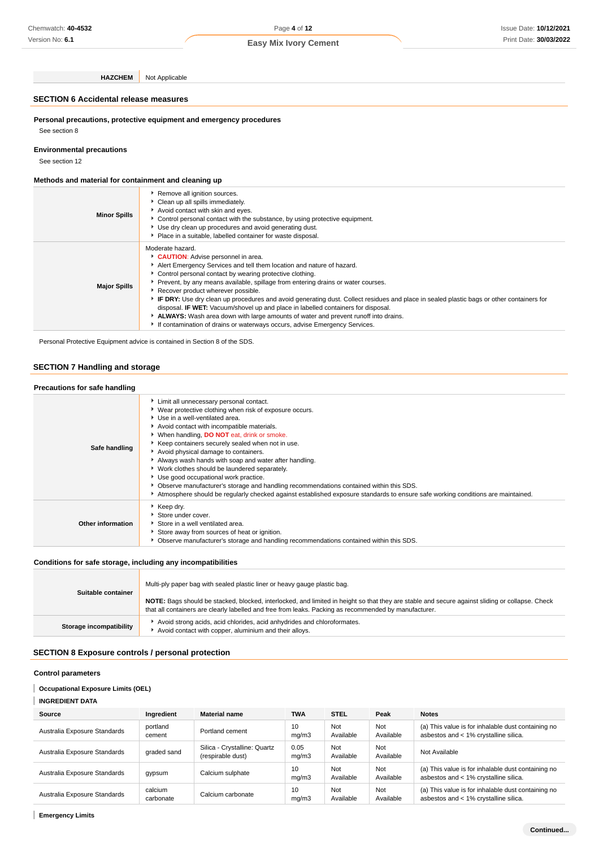Version No: **6.1**

**HAZCHEM** Not Applicable

### **SECTION 6 Accidental release measures**

**Personal precautions, protective equipment and emergency procedures** See section 8

### **Environmental precautions**

See section 12

### **Methods and material for containment and cleaning up**

| <b>Minor Spills</b> | Remove all ignition sources.<br>Clean up all spills immediately.<br>Avoid contact with skin and eyes.<br>▶ Control personal contact with the substance, by using protective equipment.<br>Use dry clean up procedures and avoid generating dust.<br>Place in a suitable, labelled container for waste disposal.                                                                                                                                                                                                                                                                                                                                                                                                                   |
|---------------------|-----------------------------------------------------------------------------------------------------------------------------------------------------------------------------------------------------------------------------------------------------------------------------------------------------------------------------------------------------------------------------------------------------------------------------------------------------------------------------------------------------------------------------------------------------------------------------------------------------------------------------------------------------------------------------------------------------------------------------------|
| <b>Major Spills</b> | Moderate hazard.<br>CAUTION: Advise personnel in area.<br>Alert Emergency Services and tell them location and nature of hazard.<br>Control personal contact by wearing protective clothing.<br>Prevent, by any means available, spillage from entering drains or water courses.<br>Recover product wherever possible.<br>IF DRY: Use dry clean up procedures and avoid generating dust. Collect residues and place in sealed plastic bags or other containers for<br>disposal. <b>IF WET:</b> Vacuum/shovel up and place in labelled containers for disposal.<br>ALWAYS: Wash area down with large amounts of water and prevent runoff into drains.<br>If contamination of drains or waterways occurs, advise Emergency Services. |

Personal Protective Equipment advice is contained in Section 8 of the SDS.

### **SECTION 7 Handling and storage**

| Precautions for safe handling |                                                                                                                                                                                                                                                                                                                                                                                                                                                                                                                                                                                                                                                                                                                 |
|-------------------------------|-----------------------------------------------------------------------------------------------------------------------------------------------------------------------------------------------------------------------------------------------------------------------------------------------------------------------------------------------------------------------------------------------------------------------------------------------------------------------------------------------------------------------------------------------------------------------------------------------------------------------------------------------------------------------------------------------------------------|
| Safe handling                 | Limit all unnecessary personal contact.<br>▶ Wear protective clothing when risk of exposure occurs.<br>Use in a well-ventilated area.<br>Avoid contact with incompatible materials.<br>When handling, DO NOT eat, drink or smoke.<br>Keep containers securely sealed when not in use.<br>Avoid physical damage to containers.<br>Always wash hands with soap and water after handling.<br>▶ Work clothes should be laundered separately.<br>Use good occupational work practice.<br>▶ Observe manufacturer's storage and handling recommendations contained within this SDS.<br>Atmosphere should be regularly checked against established exposure standards to ensure safe working conditions are maintained. |
| Other information             | ▶ Keep dry.<br>Store under cover.<br>Store in a well ventilated area.<br>Store away from sources of heat or ignition.<br>Observe manufacturer's storage and handling recommendations contained within this SDS.                                                                                                                                                                                                                                                                                                                                                                                                                                                                                                 |

### **Conditions for safe storage, including any incompatibilities**

| Suitable container      | Multi-ply paper bag with sealed plastic liner or heavy gauge plastic bag.                                                                                                                                                                                |
|-------------------------|----------------------------------------------------------------------------------------------------------------------------------------------------------------------------------------------------------------------------------------------------------|
|                         | NOTE: Bags should be stacked, blocked, interlocked, and limited in height so that they are stable and secure against sliding or collapse. Check<br>that all containers are clearly labelled and free from leaks. Packing as recommended by manufacturer. |
| Storage incompatibility | Avoid strong acids, acid chlorides, acid anhydrides and chloroformates.<br>Avoid contact with copper, aluminium and their alloys.                                                                                                                        |

### **SECTION 8 Exposure controls / personal protection**

## **Control parameters**

# **Occupational Exposure Limits (OEL)**

# **INGREDIENT DATA**

| Source                       | Ingredient           | <b>Material name</b>                              | <b>TWA</b>    | <b>STEL</b>      | Peak             | <b>Notes</b>                                                                                |
|------------------------------|----------------------|---------------------------------------------------|---------------|------------------|------------------|---------------------------------------------------------------------------------------------|
| Australia Exposure Standards | portland<br>cement   | Portland cement                                   | 10<br>mq/m3   | Not<br>Available | Not<br>Available | (a) This value is for inhalable dust containing no<br>asbestos and < 1% crystalline silica. |
| Australia Exposure Standards | graded sand          | Silica - Crystalline: Quartz<br>(respirable dust) | 0.05<br>mq/m3 | Not<br>Available | Not<br>Available | Not Available                                                                               |
| Australia Exposure Standards | gypsum               | Calcium sulphate                                  | 10<br>mq/m3   | Not<br>Available | Not<br>Available | (a) This value is for inhalable dust containing no<br>asbestos and < 1% crystalline silica. |
| Australia Exposure Standards | calcium<br>carbonate | Calcium carbonate                                 | 10<br>ma/m3   | Not<br>Available | Not<br>Available | (a) This value is for inhalable dust containing no<br>asbestos and < 1% crystalline silica. |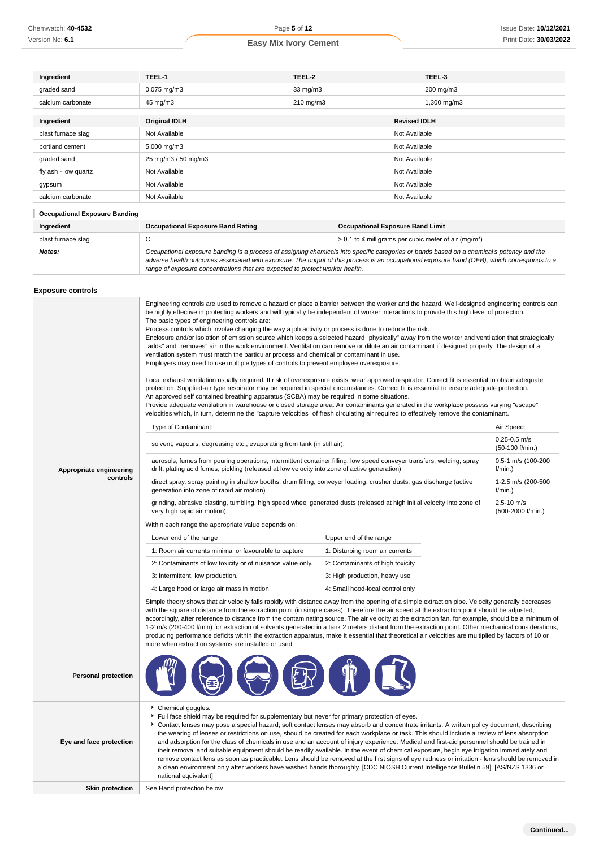| Ingredient                           | TEEL-1                                                                                                                                                                                                                                                                                                                                                                   | TEEL-2            |                                         |               | TEEL-3                                                                   |
|--------------------------------------|--------------------------------------------------------------------------------------------------------------------------------------------------------------------------------------------------------------------------------------------------------------------------------------------------------------------------------------------------------------------------|-------------------|-----------------------------------------|---------------|--------------------------------------------------------------------------|
| graded sand                          | $0.075$ mg/m $3$                                                                                                                                                                                                                                                                                                                                                         | $33 \text{ mg/m}$ |                                         |               | 200 mg/m3                                                                |
| calcium carbonate                    | 45 mg/m3                                                                                                                                                                                                                                                                                                                                                                 | 210 mg/m3         |                                         |               | 1,300 mg/m3                                                              |
| Ingredient                           | <b>Original IDLH</b>                                                                                                                                                                                                                                                                                                                                                     |                   | <b>Revised IDLH</b>                     |               |                                                                          |
| blast furnace slag                   | Not Available                                                                                                                                                                                                                                                                                                                                                            |                   |                                         | Not Available |                                                                          |
| portland cement                      | 5,000 mg/m3                                                                                                                                                                                                                                                                                                                                                              |                   |                                         | Not Available |                                                                          |
| graded sand                          | 25 mg/m3 / 50 mg/m3                                                                                                                                                                                                                                                                                                                                                      |                   | Not Available                           |               |                                                                          |
| fly ash - low quartz                 | Not Available                                                                                                                                                                                                                                                                                                                                                            |                   |                                         | Not Available |                                                                          |
| gypsum                               | Not Available                                                                                                                                                                                                                                                                                                                                                            |                   |                                         | Not Available |                                                                          |
| calcium carbonate                    | Not Available                                                                                                                                                                                                                                                                                                                                                            |                   |                                         | Not Available |                                                                          |
| <b>Occupational Exposure Banding</b> |                                                                                                                                                                                                                                                                                                                                                                          |                   |                                         |               |                                                                          |
| Ingredient                           | <b>Occupational Exposure Band Rating</b>                                                                                                                                                                                                                                                                                                                                 |                   | <b>Occupational Exposure Band Limit</b> |               |                                                                          |
| blast furnace slag                   | C                                                                                                                                                                                                                                                                                                                                                                        |                   |                                         |               | $> 0.1$ to $\leq$ milligrams per cubic meter of air (mg/m <sup>3</sup> ) |
| Notes:                               | Occupational exposure banding is a process of assigning chemicals into specific categories or bands based on a chemical's potency and the<br>adverse health outcomes associated with exposure. The output of this process is an occupational exposure band (OEB), which corresponds to a<br>range of exposure concentrations that are expected to protect worker health. |                   |                                         |               |                                                                          |

### **Exposure controls**

|                            | Engineering controls are used to remove a hazard or place a barrier between the worker and the hazard. Well-designed engineering controls can<br>be highly effective in protecting workers and will typically be independent of worker interactions to provide this high level of protection.<br>The basic types of engineering controls are:<br>Process controls which involve changing the way a job activity or process is done to reduce the risk.<br>Enclosure and/or isolation of emission source which keeps a selected hazard "physically" away from the worker and ventilation that strategically<br>"adds" and "removes" air in the work environment. Ventilation can remove or dilute an air contaminant if designed properly. The design of a<br>ventilation system must match the particular process and chemical or contaminant in use.<br>Employers may need to use multiple types of controls to prevent employee overexposure.<br>Local exhaust ventilation usually required. If risk of overexposure exists, wear approved respirator. Correct fit is essential to obtain adequate<br>protection. Supplied-air type respirator may be required in special circumstances. Correct fit is essential to ensure adequate protection.<br>An approved self contained breathing apparatus (SCBA) may be required in some situations.<br>Provide adequate ventilation in warehouse or closed storage area. Air contaminants generated in the workplace possess varying "escape"<br>velocities which, in turn, determine the "capture velocities" of fresh circulating air required to effectively remove the contaminant. |                                  |                                                  |  |  |
|----------------------------|-------------------------------------------------------------------------------------------------------------------------------------------------------------------------------------------------------------------------------------------------------------------------------------------------------------------------------------------------------------------------------------------------------------------------------------------------------------------------------------------------------------------------------------------------------------------------------------------------------------------------------------------------------------------------------------------------------------------------------------------------------------------------------------------------------------------------------------------------------------------------------------------------------------------------------------------------------------------------------------------------------------------------------------------------------------------------------------------------------------------------------------------------------------------------------------------------------------------------------------------------------------------------------------------------------------------------------------------------------------------------------------------------------------------------------------------------------------------------------------------------------------------------------------------------------------------------------------------------------------------------------------|----------------------------------|--------------------------------------------------|--|--|
|                            | Type of Contaminant:<br>solvent, vapours, degreasing etc., evaporating from tank (in still air).                                                                                                                                                                                                                                                                                                                                                                                                                                                                                                                                                                                                                                                                                                                                                                                                                                                                                                                                                                                                                                                                                                                                                                                                                                                                                                                                                                                                                                                                                                                                    |                                  | Air Speed:<br>$0.25 - 0.5$ m/s                   |  |  |
| Appropriate engineering    | aerosols, fumes from pouring operations, intermittent container filling, low speed conveyer transfers, welding, spray<br>drift, plating acid fumes, pickling (released at low velocity into zone of active generation)                                                                                                                                                                                                                                                                                                                                                                                                                                                                                                                                                                                                                                                                                                                                                                                                                                                                                                                                                                                                                                                                                                                                                                                                                                                                                                                                                                                                              |                                  | (50-100 f/min.)<br>0.5-1 m/s (100-200<br>f/min.) |  |  |
| controls                   | direct spray, spray painting in shallow booths, drum filling, conveyer loading, crusher dusts, gas discharge (active<br>generation into zone of rapid air motion)                                                                                                                                                                                                                                                                                                                                                                                                                                                                                                                                                                                                                                                                                                                                                                                                                                                                                                                                                                                                                                                                                                                                                                                                                                                                                                                                                                                                                                                                   | 1-2.5 m/s (200-500<br>$f/min.$ ) |                                                  |  |  |
|                            | grinding, abrasive blasting, tumbling, high speed wheel generated dusts (released at high initial velocity into zone of<br>very high rapid air motion).                                                                                                                                                                                                                                                                                                                                                                                                                                                                                                                                                                                                                                                                                                                                                                                                                                                                                                                                                                                                                                                                                                                                                                                                                                                                                                                                                                                                                                                                             | 2.5-10 m/s<br>(500-2000 f/min.)  |                                                  |  |  |
|                            | Within each range the appropriate value depends on:                                                                                                                                                                                                                                                                                                                                                                                                                                                                                                                                                                                                                                                                                                                                                                                                                                                                                                                                                                                                                                                                                                                                                                                                                                                                                                                                                                                                                                                                                                                                                                                 |                                  |                                                  |  |  |
|                            | Lower end of the range                                                                                                                                                                                                                                                                                                                                                                                                                                                                                                                                                                                                                                                                                                                                                                                                                                                                                                                                                                                                                                                                                                                                                                                                                                                                                                                                                                                                                                                                                                                                                                                                              | Upper end of the range           |                                                  |  |  |
|                            | 1: Room air currents minimal or favourable to capture                                                                                                                                                                                                                                                                                                                                                                                                                                                                                                                                                                                                                                                                                                                                                                                                                                                                                                                                                                                                                                                                                                                                                                                                                                                                                                                                                                                                                                                                                                                                                                               | 1: Disturbing room air currents  |                                                  |  |  |
|                            | 2: Contaminants of low toxicity or of nuisance value only.                                                                                                                                                                                                                                                                                                                                                                                                                                                                                                                                                                                                                                                                                                                                                                                                                                                                                                                                                                                                                                                                                                                                                                                                                                                                                                                                                                                                                                                                                                                                                                          | 2: Contaminants of high toxicity |                                                  |  |  |
|                            | 3: Intermittent, low production.                                                                                                                                                                                                                                                                                                                                                                                                                                                                                                                                                                                                                                                                                                                                                                                                                                                                                                                                                                                                                                                                                                                                                                                                                                                                                                                                                                                                                                                                                                                                                                                                    | 3: High production, heavy use    |                                                  |  |  |
|                            | 4: Large hood or large air mass in motion                                                                                                                                                                                                                                                                                                                                                                                                                                                                                                                                                                                                                                                                                                                                                                                                                                                                                                                                                                                                                                                                                                                                                                                                                                                                                                                                                                                                                                                                                                                                                                                           | 4: Small hood-local control only |                                                  |  |  |
|                            | Simple theory shows that air velocity falls rapidly with distance away from the opening of a simple extraction pipe. Velocity generally decreases<br>with the square of distance from the extraction point (in simple cases). Therefore the air speed at the extraction point should be adjusted,<br>accordingly, after reference to distance from the contaminating source. The air velocity at the extraction fan, for example, should be a minimum of<br>1-2 m/s (200-400 f/min) for extraction of solvents generated in a tank 2 meters distant from the extraction point. Other mechanical considerations,<br>producing performance deficits within the extraction apparatus, make it essential that theoretical air velocities are multiplied by factors of 10 or<br>more when extraction systems are installed or used.                                                                                                                                                                                                                                                                                                                                                                                                                                                                                                                                                                                                                                                                                                                                                                                                      |                                  |                                                  |  |  |
| <b>Personal protection</b> |                                                                                                                                                                                                                                                                                                                                                                                                                                                                                                                                                                                                                                                                                                                                                                                                                                                                                                                                                                                                                                                                                                                                                                                                                                                                                                                                                                                                                                                                                                                                                                                                                                     |                                  |                                                  |  |  |
| Eye and face protection    | Chemical goggles.<br>Full face shield may be required for supplementary but never for primary protection of eyes.<br>Contact lenses may pose a special hazard; soft contact lenses may absorb and concentrate irritants. A written policy document, describing<br>the wearing of lenses or restrictions on use, should be created for each workplace or task. This should include a review of lens absorption<br>and adsorption for the class of chemicals in use and an account of injury experience. Medical and first-aid personnel should be trained in<br>their removal and suitable equipment should be readily available. In the event of chemical exposure, begin eye irrigation immediately and<br>remove contact lens as soon as practicable. Lens should be removed at the first signs of eye redness or irritation - lens should be removed in<br>a clean environment only after workers have washed hands thoroughly. [CDC NIOSH Current Intelligence Bulletin 59], [AS/NZS 1336 or<br>national equivalent]                                                                                                                                                                                                                                                                                                                                                                                                                                                                                                                                                                                                            |                                  |                                                  |  |  |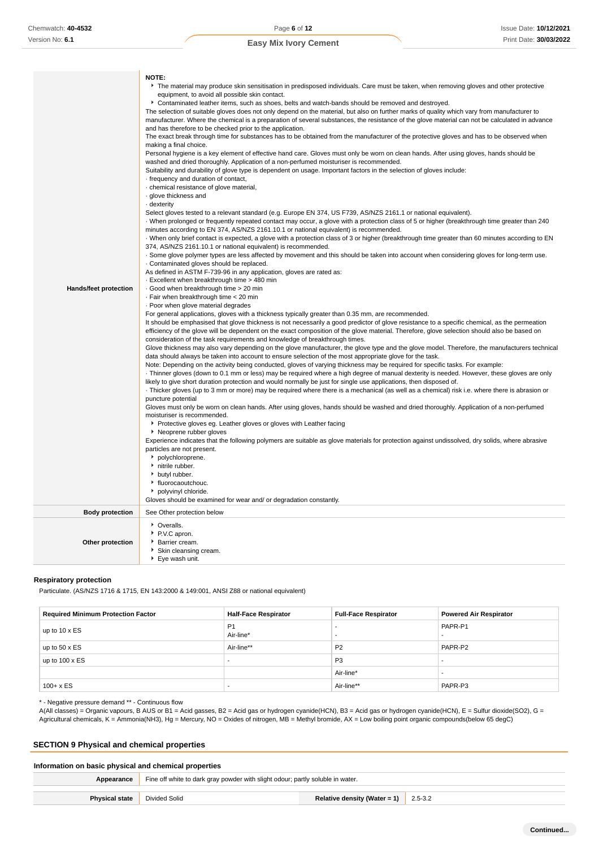| Hands/feet protection  | NOTE:<br>The material may produce skin sensitisation in predisposed individuals. Care must be taken, when removing gloves and other protective<br>equipment, to avoid all possible skin contact.<br>Contaminated leather items, such as shoes, belts and watch-bands should be removed and destroyed.<br>The selection of suitable gloves does not only depend on the material, but also on further marks of quality which vary from manufacturer to<br>manufacturer. Where the chemical is a preparation of several substances, the resistance of the glove material can not be calculated in advance<br>and has therefore to be checked prior to the application.<br>The exact break through time for substances has to be obtained from the manufacturer of the protective gloves and has to be observed when<br>making a final choice.<br>Personal hygiene is a key element of effective hand care. Gloves must only be worn on clean hands. After using gloves, hands should be<br>washed and dried thoroughly. Application of a non-perfumed moisturiser is recommended.<br>Suitability and durability of glove type is dependent on usage. Important factors in the selection of gloves include:<br>frequency and duration of contact,<br>· chemical resistance of glove material,<br>· glove thickness and<br>dexterity .<br>Select gloves tested to a relevant standard (e.g. Europe EN 374, US F739, AS/NZS 2161.1 or national equivalent).<br>When prolonged or frequently repeated contact may occur, a glove with a protection class of 5 or higher (breakthrough time greater than 240<br>minutes according to EN 374, AS/NZS 2161.10.1 or national equivalent) is recommended.<br>When only brief contact is expected, a glove with a protection class of 3 or higher (breakthrough time greater than 60 minutes according to EN<br>374, AS/NZS 2161.10.1 or national equivalent) is recommended.<br>. Some glove polymer types are less affected by movement and this should be taken into account when considering gloves for long-term use.<br>. Contaminated gloves should be replaced.<br>As defined in ASTM F-739-96 in any application, gloves are rated as:<br>. Excellent when breakthrough time > 480 min<br>Good when breakthrough time > 20 min<br>· Fair when breakthrough time < 20 min<br>. Poor when glove material degrades<br>For general applications, gloves with a thickness typically greater than 0.35 mm, are recommended.<br>It should be emphasised that glove thickness is not necessarily a good predictor of glove resistance to a specific chemical, as the permeation<br>efficiency of the glove will be dependent on the exact composition of the glove material. Therefore, glove selection should also be based on<br>consideration of the task requirements and knowledge of breakthrough times.<br>Glove thickness may also vary depending on the glove manufacturer, the glove type and the glove model. Therefore, the manufacturers technical<br>data should always be taken into account to ensure selection of the most appropriate glove for the task.<br>Note: Depending on the activity being conducted, gloves of varying thickness may be required for specific tasks. For example:<br>Thinner gloves (down to 0.1 mm or less) may be required where a high degree of manual dexterity is needed. However, these gloves are only<br>likely to give short duration protection and would normally be just for single use applications, then disposed of.<br>Thicker gloves (up to 3 mm or more) may be required where there is a mechanical (as well as a chemical) risk i.e. where there is abrasion or<br>puncture potential<br>Gloves must only be worn on clean hands. After using gloves, hands should be washed and dried thoroughly. Application of a non-perfumed<br>moisturiser is recommended.<br>• Protective gloves eg. Leather gloves or gloves with Leather facing<br>▶ Neoprene rubber gloves<br>Experience indicates that the following polymers are suitable as glove materials for protection against undissolved, dry solids, where abrasive<br>particles are not present.<br>• polychloroprene.<br>hitrile rubber.<br>butyl rubber.<br>• fluorocaoutchouc.<br>polyvinyl chloride. |
|------------------------|------------------------------------------------------------------------------------------------------------------------------------------------------------------------------------------------------------------------------------------------------------------------------------------------------------------------------------------------------------------------------------------------------------------------------------------------------------------------------------------------------------------------------------------------------------------------------------------------------------------------------------------------------------------------------------------------------------------------------------------------------------------------------------------------------------------------------------------------------------------------------------------------------------------------------------------------------------------------------------------------------------------------------------------------------------------------------------------------------------------------------------------------------------------------------------------------------------------------------------------------------------------------------------------------------------------------------------------------------------------------------------------------------------------------------------------------------------------------------------------------------------------------------------------------------------------------------------------------------------------------------------------------------------------------------------------------------------------------------------------------------------------------------------------------------------------------------------------------------------------------------------------------------------------------------------------------------------------------------------------------------------------------------------------------------------------------------------------------------------------------------------------------------------------------------------------------------------------------------------------------------------------------------------------------------------------------------------------------------------------------------------------------------------------------------------------------------------------------------------------------------------------------------------------------------------------------------------------------------------------------------------------------------------------------------------------------------------------------------------------------------------------------------------------------------------------------------------------------------------------------------------------------------------------------------------------------------------------------------------------------------------------------------------------------------------------------------------------------------------------------------------------------------------------------------------------------------------------------------------------------------------------------------------------------------------------------------------------------------------------------------------------------------------------------------------------------------------------------------------------------------------------------------------------------------------------------------------------------------------------------------------------------------------------------------------------------------------------------------------------------------------------------------------------------------------------------------------------------------------------------------------------------------------------------------------------------------------------------------------------------------------------------------------------------------------------------------------------------------------------------------------------------------------------------------------------------------------------------------------------------------------------|
|                        | Gloves should be examined for wear and/ or degradation constantly.                                                                                                                                                                                                                                                                                                                                                                                                                                                                                                                                                                                                                                                                                                                                                                                                                                                                                                                                                                                                                                                                                                                                                                                                                                                                                                                                                                                                                                                                                                                                                                                                                                                                                                                                                                                                                                                                                                                                                                                                                                                                                                                                                                                                                                                                                                                                                                                                                                                                                                                                                                                                                                                                                                                                                                                                                                                                                                                                                                                                                                                                                                                                                                                                                                                                                                                                                                                                                                                                                                                                                                                                                                                                                                                                                                                                                                                                                                                                                                                                                                                                                                                                                                                               |
| <b>Body protection</b> | See Other protection below                                                                                                                                                                                                                                                                                                                                                                                                                                                                                                                                                                                                                                                                                                                                                                                                                                                                                                                                                                                                                                                                                                                                                                                                                                                                                                                                                                                                                                                                                                                                                                                                                                                                                                                                                                                                                                                                                                                                                                                                                                                                                                                                                                                                                                                                                                                                                                                                                                                                                                                                                                                                                                                                                                                                                                                                                                                                                                                                                                                                                                                                                                                                                                                                                                                                                                                                                                                                                                                                                                                                                                                                                                                                                                                                                                                                                                                                                                                                                                                                                                                                                                                                                                                                                                       |
| Other protection       | • Overalls.<br>P.V.C apron.<br>Barrier cream.<br>▶ Skin cleansing cream.<br>▶ Eye wash unit.                                                                                                                                                                                                                                                                                                                                                                                                                                                                                                                                                                                                                                                                                                                                                                                                                                                                                                                                                                                                                                                                                                                                                                                                                                                                                                                                                                                                                                                                                                                                                                                                                                                                                                                                                                                                                                                                                                                                                                                                                                                                                                                                                                                                                                                                                                                                                                                                                                                                                                                                                                                                                                                                                                                                                                                                                                                                                                                                                                                                                                                                                                                                                                                                                                                                                                                                                                                                                                                                                                                                                                                                                                                                                                                                                                                                                                                                                                                                                                                                                                                                                                                                                                     |

### **Respiratory protection**

Particulate. (AS/NZS 1716 & 1715, EN 143:2000 & 149:001, ANSI Z88 or national equivalent)

| <b>Required Minimum Protection Factor</b> | <b>Half-Face Respirator</b> | <b>Full-Face Respirator</b> | <b>Powered Air Respirator</b> |
|-------------------------------------------|-----------------------------|-----------------------------|-------------------------------|
| up to $10 \times ES$                      | P <sub>1</sub><br>Air-line* |                             | PAPR-P1                       |
| up to $50 \times ES$                      | Air-line**                  | P <sub>2</sub>              | PAPR-P2                       |
| up to $100 \times ES$                     | . .                         | P <sub>3</sub>              |                               |
|                                           |                             | Air-line*                   |                               |
| $100 + x ES$                              | . .                         | Air-line**                  | PAPR-P3                       |

\* - Negative pressure demand \*\* - Continuous flow

A(All classes) = Organic vapours, B AUS or B1 = Acid gasses, B2 = Acid gas or hydrogen cyanide(HCN), B3 = Acid gas or hydrogen cyanide(HCN), E = Sulfur dioxide(SO2), G = Agricultural chemicals, K = Ammonia(NH3), Hg = Mercury, NO = Oxides of nitrogen, MB = Methyl bromide, AX = Low boiling point organic compounds(below 65 degC)

# **SECTION 9 Physical and chemical properties**

# **Information on basic physical and chemical properties Appearance** Fine off white to dark gray powder with slight odour; partly soluble in water. **Physical state** Divided Solid **Relative density (Water = 1)** 2.5-3.2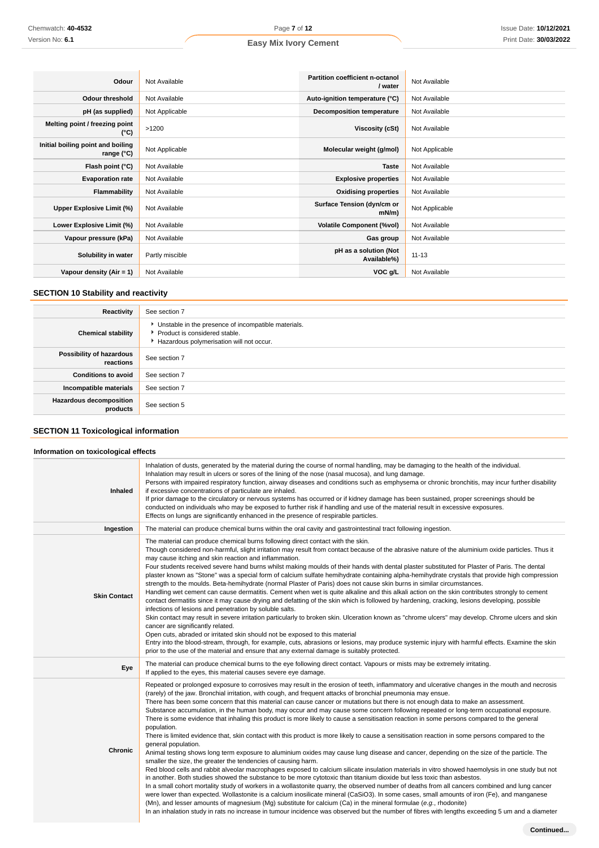| Odour                                           | Not Available   | Partition coefficient n-octanol<br>/ water | Not Available  |
|-------------------------------------------------|-----------------|--------------------------------------------|----------------|
| <b>Odour threshold</b>                          | Not Available   | Auto-ignition temperature (°C)             | Not Available  |
| pH (as supplied)                                | Not Applicable  | <b>Decomposition temperature</b>           | Not Available  |
| Melting point / freezing point<br>(°C)          | >1200           | <b>Viscosity (cSt)</b>                     | Not Available  |
| Initial boiling point and boiling<br>range (°C) | Not Applicable  | Molecular weight (g/mol)                   | Not Applicable |
| Flash point (°C)                                | Not Available   | <b>Taste</b>                               | Not Available  |
| <b>Evaporation rate</b>                         | Not Available   | <b>Explosive properties</b>                | Not Available  |
| Flammability                                    | Not Available   | <b>Oxidising properties</b>                | Not Available  |
| Upper Explosive Limit (%)                       | Not Available   | Surface Tension (dyn/cm or<br>mN/m         | Not Applicable |
| Lower Explosive Limit (%)                       | Not Available   | <b>Volatile Component (%vol)</b>           | Not Available  |
| Vapour pressure (kPa)                           | Not Available   | Gas group                                  | Not Available  |
| Solubility in water                             | Partly miscible | pH as a solution (Not<br>Available%)       | $11 - 13$      |
| Vapour density $(Air = 1)$                      | Not Available   | VOC g/L                                    | Not Available  |

# **SECTION 10 Stability and reactivity**

| Reactivity                                 | See section 7                                                                                                                      |
|--------------------------------------------|------------------------------------------------------------------------------------------------------------------------------------|
| <b>Chemical stability</b>                  | • Unstable in the presence of incompatible materials.<br>Product is considered stable.<br>Hazardous polymerisation will not occur. |
| Possibility of hazardous<br>reactions      | See section 7                                                                                                                      |
| <b>Conditions to avoid</b>                 | See section 7                                                                                                                      |
| Incompatible materials                     | See section 7                                                                                                                      |
| <b>Hazardous decomposition</b><br>products | See section 5                                                                                                                      |

# **SECTION 11 Toxicological information**

### **Information on toxicological effects**

| <b>Inhaled</b>      | Inhalation of dusts, generated by the material during the course of normal handling, may be damaging to the health of the individual.<br>Inhalation may result in ulcers or sores of the lining of the nose (nasal mucosa), and lung damage.<br>Persons with impaired respiratory function, airway diseases and conditions such as emphysema or chronic bronchitis, may incur further disability<br>if excessive concentrations of particulate are inhaled.<br>If prior damage to the circulatory or nervous systems has occurred or if kidney damage has been sustained, proper screenings should be<br>conducted on individuals who may be exposed to further risk if handling and use of the material result in excessive exposures.<br>Effects on lungs are significantly enhanced in the presence of respirable particles.                                                                                                                                                                                                                                                                                                                                                                                                                                                                                                                                                                                                                                                                                                                                                                                                                                                                                                                                                                                                                                                                                                                         |
|---------------------|---------------------------------------------------------------------------------------------------------------------------------------------------------------------------------------------------------------------------------------------------------------------------------------------------------------------------------------------------------------------------------------------------------------------------------------------------------------------------------------------------------------------------------------------------------------------------------------------------------------------------------------------------------------------------------------------------------------------------------------------------------------------------------------------------------------------------------------------------------------------------------------------------------------------------------------------------------------------------------------------------------------------------------------------------------------------------------------------------------------------------------------------------------------------------------------------------------------------------------------------------------------------------------------------------------------------------------------------------------------------------------------------------------------------------------------------------------------------------------------------------------------------------------------------------------------------------------------------------------------------------------------------------------------------------------------------------------------------------------------------------------------------------------------------------------------------------------------------------------------------------------------------------------------------------------------------------------|
| Ingestion           | The material can produce chemical burns within the oral cavity and gastrointestinal tract following ingestion.                                                                                                                                                                                                                                                                                                                                                                                                                                                                                                                                                                                                                                                                                                                                                                                                                                                                                                                                                                                                                                                                                                                                                                                                                                                                                                                                                                                                                                                                                                                                                                                                                                                                                                                                                                                                                                          |
| <b>Skin Contact</b> | The material can produce chemical burns following direct contact with the skin.<br>Though considered non-harmful, slight irritation may result from contact because of the abrasive nature of the aluminium oxide particles. Thus it<br>may cause itching and skin reaction and inflammation.<br>Four students received severe hand burns whilst making moulds of their hands with dental plaster substituted for Plaster of Paris. The dental<br>plaster known as "Stone" was a special form of calcium sulfate hemihydrate containing alpha-hemihydrate crystals that provide high compression<br>strength to the moulds. Beta-hemihydrate (normal Plaster of Paris) does not cause skin burns in similar circumstances.<br>Handling wet cement can cause dermatitis. Cement when wet is quite alkaline and this alkali action on the skin contributes strongly to cement<br>contact dermatitis since it may cause drying and defatting of the skin which is followed by hardening, cracking, lesions developing, possible<br>infections of lesions and penetration by soluble salts.<br>Skin contact may result in severe irritation particularly to broken skin. Ulceration known as "chrome ulcers" may develop. Chrome ulcers and skin<br>cancer are significantly related.<br>Open cuts, abraded or irritated skin should not be exposed to this material<br>Entry into the blood-stream, through, for example, cuts, abrasions or lesions, may produce systemic injury with harmful effects. Examine the skin<br>prior to the use of the material and ensure that any external damage is suitably protected.                                                                                                                                                                                                                                                                                                                                    |
| Eye                 | The material can produce chemical burns to the eye following direct contact. Vapours or mists may be extremely irritating.<br>If applied to the eyes, this material causes severe eye damage.                                                                                                                                                                                                                                                                                                                                                                                                                                                                                                                                                                                                                                                                                                                                                                                                                                                                                                                                                                                                                                                                                                                                                                                                                                                                                                                                                                                                                                                                                                                                                                                                                                                                                                                                                           |
| Chronic             | Repeated or prolonged exposure to corrosives may result in the erosion of teeth, inflammatory and ulcerative changes in the mouth and necrosis<br>(rarely) of the jaw. Bronchial irritation, with cough, and frequent attacks of bronchial pneumonia may ensue.<br>There has been some concern that this material can cause cancer or mutations but there is not enough data to make an assessment.<br>Substance accumulation, in the human body, may occur and may cause some concern following repeated or long-term occupational exposure.<br>There is some evidence that inhaling this product is more likely to cause a sensitisation reaction in some persons compared to the general<br>population.<br>There is limited evidence that, skin contact with this product is more likely to cause a sensitisation reaction in some persons compared to the<br>general population.<br>Animal testing shows long term exposure to aluminium oxides may cause lung disease and cancer, depending on the size of the particle. The<br>smaller the size, the greater the tendencies of causing harm.<br>Red blood cells and rabbit alveolar macrophages exposed to calcium silicate insulation materials in vitro showed haemolysis in one study but not<br>in another. Both studies showed the substance to be more cytotoxic than titanium dioxide but less toxic than asbestos.<br>In a small cohort mortality study of workers in a wollastonite quarry, the observed number of deaths from all cancers combined and lung cancer<br>were lower than expected. Wollastonite is a calcium inosilicate mineral (CaSiO3). In some cases, small amounts of iron (Fe), and manganese<br>(Mn), and lesser amounts of magnesium (Mg) substitute for calcium (Ca) in the mineral formulae (e.g., rhodonite)<br>In an inhalation study in rats no increase in tumour incidence was observed but the number of fibres with lengths exceeding 5 um and a diameter |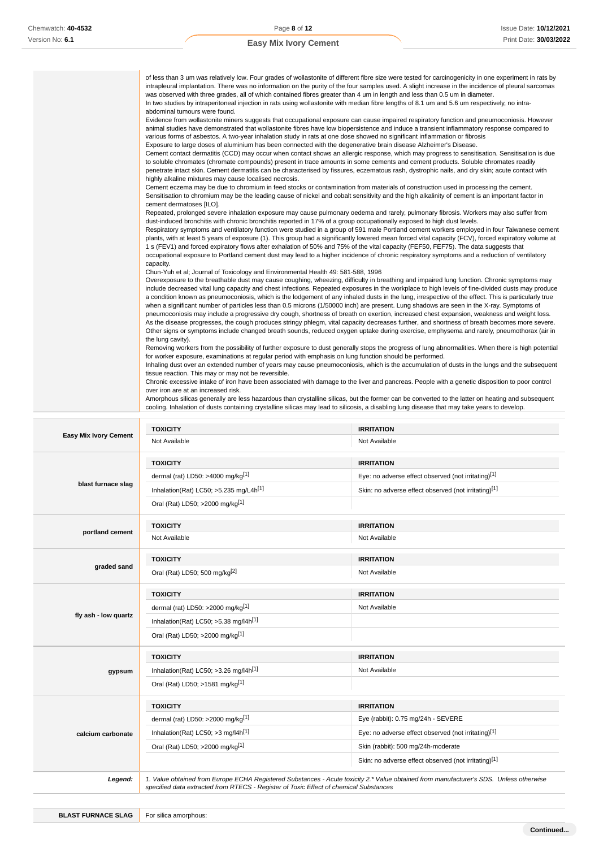| of less than 3 um was relatively low. Four grades of wollastonite of different fibre size were tested for carcinogenicity in one experiment in rats by<br>intrapleural implantation. There was no information on the purity of the four samples used. A slight increase in the incidence of pleural sarcomas<br>was observed with three grades, all of which contained fibres greater than 4 um in length and less than 0.5 um in diameter.                                                                                                                                                                                                                                                                                                                                                                                                                                                                                                                                                                                                                     |
|-----------------------------------------------------------------------------------------------------------------------------------------------------------------------------------------------------------------------------------------------------------------------------------------------------------------------------------------------------------------------------------------------------------------------------------------------------------------------------------------------------------------------------------------------------------------------------------------------------------------------------------------------------------------------------------------------------------------------------------------------------------------------------------------------------------------------------------------------------------------------------------------------------------------------------------------------------------------------------------------------------------------------------------------------------------------|
| In two studies by intraperitoneal injection in rats using wollastonite with median fibre lengths of 8.1 um and 5.6 um respectively, no intra-<br>abdominal tumours were found.                                                                                                                                                                                                                                                                                                                                                                                                                                                                                                                                                                                                                                                                                                                                                                                                                                                                                  |
| Evidence from wollastonite miners suggests that occupational exposure can cause impaired respiratory function and pneumoconiosis. However<br>animal studies have demonstrated that wollastonite fibres have low biopersistence and induce a transient inflammatory response compared to<br>various forms of asbestos. A two-year inhalation study in rats at one dose showed no significant inflammation or fibrosis                                                                                                                                                                                                                                                                                                                                                                                                                                                                                                                                                                                                                                            |
| Exposure to large doses of aluminium has been connected with the degenerative brain disease Alzheimer's Disease.                                                                                                                                                                                                                                                                                                                                                                                                                                                                                                                                                                                                                                                                                                                                                                                                                                                                                                                                                |
| Cement contact dermatitis (CCD) may occur when contact shows an allergic response, which may progress to sensitisation. Sensitisation is due<br>to soluble chromates (chromate compounds) present in trace amounts in some cements and cement products. Soluble chromates readily                                                                                                                                                                                                                                                                                                                                                                                                                                                                                                                                                                                                                                                                                                                                                                               |
| penetrate intact skin. Cement dermatitis can be characterised by fissures, eczematous rash, dystrophic nails, and dry skin; acute contact with<br>highly alkaline mixtures may cause localised necrosis.                                                                                                                                                                                                                                                                                                                                                                                                                                                                                                                                                                                                                                                                                                                                                                                                                                                        |
| Cement eczema may be due to chromium in feed stocks or contamination from materials of construction used in processing the cement.<br>Sensitisation to chromium may be the leading cause of nickel and cobalt sensitivity and the high alkalinity of cement is an important factor in<br>cement dermatoses [ILO].                                                                                                                                                                                                                                                                                                                                                                                                                                                                                                                                                                                                                                                                                                                                               |
| Repeated, prolonged severe inhalation exposure may cause pulmonary oedema and rarely, pulmonary fibrosis. Workers may also suffer from<br>dust-induced bronchitis with chronic bronchitis reported in 17% of a group occupationally exposed to high dust levels.                                                                                                                                                                                                                                                                                                                                                                                                                                                                                                                                                                                                                                                                                                                                                                                                |
| Respiratory symptoms and ventilatory function were studied in a group of 591 male Portland cement workers employed in four Taiwanese cement<br>plants, with at least 5 years of exposure (1). This group had a significantly lowered mean forced vital capacity (FCV), forced expiratory volume at<br>1 s (FEV1) and forced expiratory flows after exhalation of 50% and 75% of the vital capacity (FEF50, FEF75). The data suggests that<br>occupational exposure to Portland cement dust may lead to a higher incidence of chronic respiratory symptoms and a reduction of ventilatory<br>capacity.                                                                                                                                                                                                                                                                                                                                                                                                                                                           |
| Chun-Yuh et al; Journal of Toxicology and Environmental Health 49: 581-588, 1996                                                                                                                                                                                                                                                                                                                                                                                                                                                                                                                                                                                                                                                                                                                                                                                                                                                                                                                                                                                |
| Overexposure to the breathable dust may cause coughing, wheezing, difficulty in breathing and impaired lung function. Chronic symptoms may<br>include decreased vital lung capacity and chest infections. Repeated exposures in the workplace to high levels of fine-divided dusts may produce<br>a condition known as pneumoconiosis, which is the lodgement of any inhaled dusts in the lung, irrespective of the effect. This is particularly true<br>when a significant number of particles less than 0.5 microns (1/50000 inch) are present. Lung shadows are seen in the X-ray. Symptoms of<br>pneumoconiosis may include a progressive dry cough, shortness of breath on exertion, increased chest expansion, weakness and weight loss.<br>As the disease progresses, the cough produces stringy phlegm, vital capacity decreases further, and shortness of breath becomes more severe.<br>Other signs or symptoms include changed breath sounds, reduced oxygen uptake during exercise, emphysema and rarely, pneumothorax (air in<br>the lung cavity). |
| Removing workers from the possibility of further exposure to dust generally stops the progress of lung abnormalities. When there is high potential<br>for worker exposure, examinations at regular period with emphasis on lung function should be performed.                                                                                                                                                                                                                                                                                                                                                                                                                                                                                                                                                                                                                                                                                                                                                                                                   |
| Inhaling dust over an extended number of years may cause pneumoconiosis, which is the accumulation of dusts in the lungs and the subsequent<br>tissue reaction. This may or may not be reversible.                                                                                                                                                                                                                                                                                                                                                                                                                                                                                                                                                                                                                                                                                                                                                                                                                                                              |
| Chronic excessive intake of iron have been associated with damage to the liver and pancreas. People with a genetic disposition to poor control<br>over iron are at an increased risk.                                                                                                                                                                                                                                                                                                                                                                                                                                                                                                                                                                                                                                                                                                                                                                                                                                                                           |
| Amorphous silicas generally are less hazardous than crystalline silicas, but the former can be converted to the latter on heating and subsequent<br>cooling. Inhalation of dusts containing crystalline silicas may lead to silicosis, a disabling lung disease that may take years to develop.                                                                                                                                                                                                                                                                                                                                                                                                                                                                                                                                                                                                                                                                                                                                                                 |

|                              | <b>TOXICITY</b>                                                                                                                                                                                                                 | <b>IRRITATION</b>                                    |
|------------------------------|---------------------------------------------------------------------------------------------------------------------------------------------------------------------------------------------------------------------------------|------------------------------------------------------|
| <b>Easy Mix Ivory Cement</b> | Not Available                                                                                                                                                                                                                   | Not Available                                        |
|                              | <b>TOXICITY</b>                                                                                                                                                                                                                 | <b>IRRITATION</b>                                    |
|                              | dermal (rat) LD50: >4000 mg/kg[1]                                                                                                                                                                                               | Eye: no adverse effect observed (not irritating)[1]  |
| blast furnace slag           | Inhalation(Rat) LC50; >5.235 mg/L4h <sup>[1]</sup>                                                                                                                                                                              | Skin: no adverse effect observed (not irritating)[1] |
|                              | Oral (Rat) LD50; >2000 mg/kg[1]                                                                                                                                                                                                 |                                                      |
|                              | <b>TOXICITY</b>                                                                                                                                                                                                                 | <b>IRRITATION</b>                                    |
| portland cement              | Not Available                                                                                                                                                                                                                   | Not Available                                        |
|                              | <b>TOXICITY</b>                                                                                                                                                                                                                 | <b>IRRITATION</b>                                    |
| graded sand                  | Oral (Rat) LD50; 500 mg/kg[2]                                                                                                                                                                                                   | Not Available                                        |
|                              | <b>TOXICITY</b>                                                                                                                                                                                                                 | <b>IRRITATION</b>                                    |
|                              | dermal (rat) LD50: >2000 mg/kg <sup>[1]</sup>                                                                                                                                                                                   | Not Available                                        |
| fly ash - low quartz         | Inhalation(Rat) LC50; $>5.38$ mg/l4h <sup>[1]</sup>                                                                                                                                                                             |                                                      |
|                              | Oral (Rat) LD50; >2000 mg/kg[1]                                                                                                                                                                                                 |                                                      |
|                              | <b>TOXICITY</b>                                                                                                                                                                                                                 | <b>IRRITATION</b>                                    |
| gypsum                       | Inhalation(Rat) LC50; >3.26 mg/l4h <sup>[1]</sup>                                                                                                                                                                               | Not Available                                        |
|                              | Oral (Rat) LD50; >1581 mg/kg[1]                                                                                                                                                                                                 |                                                      |
|                              | <b>TOXICITY</b>                                                                                                                                                                                                                 | <b>IRRITATION</b>                                    |
|                              | dermal (rat) LD50: >2000 mg/kg <sup>[1]</sup>                                                                                                                                                                                   | Eye (rabbit): 0.75 mg/24h - SEVERE                   |
| calcium carbonate            | Inhalation(Rat) LC50; $>3$ mg/l4h <sup>[1]</sup>                                                                                                                                                                                | Eye: no adverse effect observed (not irritating)[1]  |
|                              | Oral (Rat) LD50; >2000 mg/kg[1]                                                                                                                                                                                                 | Skin (rabbit): 500 mg/24h-moderate                   |
|                              |                                                                                                                                                                                                                                 | Skin: no adverse effect observed (not irritating)[1] |
| Legend:                      | 1. Value obtained from Europe ECHA Registered Substances - Acute toxicity 2.* Value obtained from manufacturer's SDS. Unless otherwise<br>specified data extracted from RTECS - Register of Toxic Effect of chemical Substances |                                                      |
|                              |                                                                                                                                                                                                                                 |                                                      |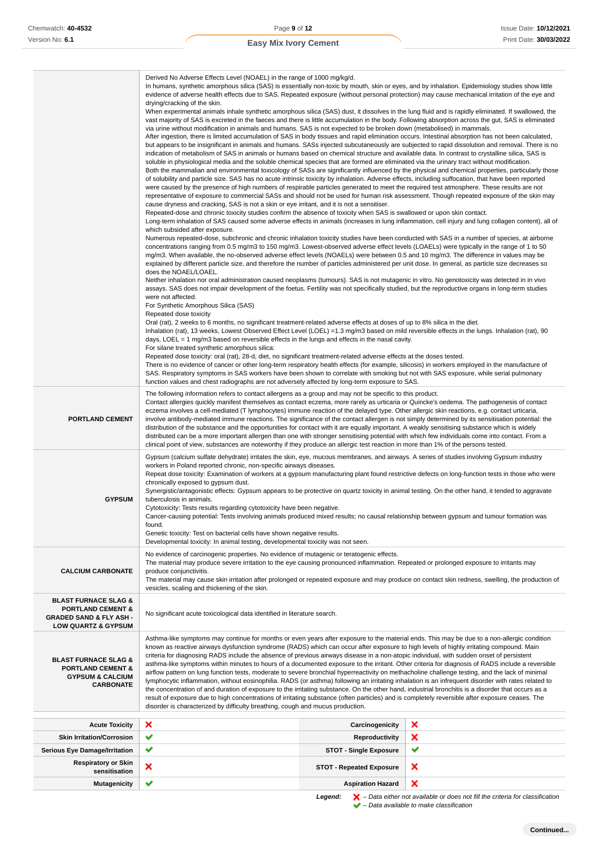| Chemwatch: 40-4532                                                                                                                      | Page 9 of 12                                                                                                                                                                                                                                                                                                                                                                                                                                                                                                                                                                                                                                                                                                                                                                                                                                                                                                                                                                                                                                                                                                                                                                                                                                                                     |                                 | <b>Issue Date: 10/12/202</b>                                                                                                                                                                                                                                                                        |
|-----------------------------------------------------------------------------------------------------------------------------------------|----------------------------------------------------------------------------------------------------------------------------------------------------------------------------------------------------------------------------------------------------------------------------------------------------------------------------------------------------------------------------------------------------------------------------------------------------------------------------------------------------------------------------------------------------------------------------------------------------------------------------------------------------------------------------------------------------------------------------------------------------------------------------------------------------------------------------------------------------------------------------------------------------------------------------------------------------------------------------------------------------------------------------------------------------------------------------------------------------------------------------------------------------------------------------------------------------------------------------------------------------------------------------------|---------------------------------|-----------------------------------------------------------------------------------------------------------------------------------------------------------------------------------------------------------------------------------------------------------------------------------------------------|
| Version No: 6.1                                                                                                                         | <b>Easy Mix Ivory Cement</b>                                                                                                                                                                                                                                                                                                                                                                                                                                                                                                                                                                                                                                                                                                                                                                                                                                                                                                                                                                                                                                                                                                                                                                                                                                                     |                                 | Print Date: 30/03/202                                                                                                                                                                                                                                                                               |
|                                                                                                                                         |                                                                                                                                                                                                                                                                                                                                                                                                                                                                                                                                                                                                                                                                                                                                                                                                                                                                                                                                                                                                                                                                                                                                                                                                                                                                                  |                                 |                                                                                                                                                                                                                                                                                                     |
|                                                                                                                                         | Derived No Adverse Effects Level (NOAEL) in the range of 1000 mg/kg/d.<br>In humans, synthetic amorphous silica (SAS) is essentially non-toxic by mouth, skin or eyes, and by inhalation. Epidemiology studies show little<br>evidence of adverse health effects due to SAS. Repeated exposure (without personal protection) may cause mechanical irritation of the eye and<br>drying/cracking of the skin.                                                                                                                                                                                                                                                                                                                                                                                                                                                                                                                                                                                                                                                                                                                                                                                                                                                                      |                                 | When experimental animals inhale synthetic amorphous silica (SAS) dust, it dissolves in the lung fluid and is rapidly eliminated. If swallowed, the                                                                                                                                                 |
|                                                                                                                                         | vast majority of SAS is excreted in the faeces and there is little accumulation in the body. Following absorption across the gut, SAS is eliminated<br>via urine without modification in animals and humans. SAS is not expected to be broken down (metabolised) in mammals.<br>After ingestion, there is limited accumulation of SAS in body tissues and rapid elimination occurs. Intestinal absorption has not been calculated,<br>indication of metabolism of SAS in animals or humans based on chemical structure and available data. In contrast to crystalline silica, SAS is<br>soluble in physiological media and the soluble chemical species that are formed are eliminated via the urinary tract without modification.<br>of solubility and particle size. SAS has no acute intrinsic toxicity by inhalation. Adverse effects, including suffocation, that have been reported<br>were caused by the presence of high numbers of respirable particles generated to meet the required test atmosphere. These results are not<br>representative of exposure to commercial SASs and should not be used for human risk assessment. Though repeated exposure of the skin may<br>cause dryness and cracking, SAS is not a skin or eye irritant, and it is not a sensitiser. |                                 | but appears to be insignificant in animals and humans. SASs injected subcutaneously are subjected to rapid dissolution and removal. There is no<br>Both the mammalian and environmental toxicology of SASs are significantly influenced by the physical and chemical properties, particularly those |
|                                                                                                                                         | Repeated-dose and chronic toxicity studies confirm the absence of toxicity when SAS is swallowed or upon skin contact.                                                                                                                                                                                                                                                                                                                                                                                                                                                                                                                                                                                                                                                                                                                                                                                                                                                                                                                                                                                                                                                                                                                                                           |                                 | Long-term inhalation of SAS caused some adverse effects in animals (increases in lung inflammation, cell injury and lung collagen content), all of                                                                                                                                                  |
|                                                                                                                                         | which subsided after exposure.<br>Numerous repeated-dose, subchronic and chronic inhalation toxicity studies have been conducted with SAS in a number of species, at airborne<br>concentrations ranging from 0.5 mg/m3 to 150 mg/m3. Lowest-observed adverse effect levels (LOAELs) were typically in the range of 1 to 50<br>mg/m3. When available, the no-observed adverse effect levels (NOAELs) were between 0.5 and 10 mg/m3. The difference in values may be<br>explained by different particle size, and therefore the number of particles administered per unit dose. In general, as particle size decreases so<br>does the NOAEL/LOAEL.                                                                                                                                                                                                                                                                                                                                                                                                                                                                                                                                                                                                                                 |                                 |                                                                                                                                                                                                                                                                                                     |
|                                                                                                                                         | Neither inhalation nor oral administration caused neoplasms (tumours). SAS is not mutagenic in vitro. No genotoxicity was detected in in vivo<br>assays. SAS does not impair development of the foetus. Fertility was not specifically studied, but the reproductive organs in long-term studies<br>were not affected.<br>For Synthetic Amorphous Silica (SAS)                                                                                                                                                                                                                                                                                                                                                                                                                                                                                                                                                                                                                                                                                                                                                                                                                                                                                                                   |                                 |                                                                                                                                                                                                                                                                                                     |
|                                                                                                                                         | Repeated dose toxicity<br>Oral (rat), 2 weeks to 6 months, no significant treatment-related adverse effects at doses of up to 8% silica in the diet.<br>Inhalation (rat), 13 weeks, Lowest Observed Effect Level (LOEL) =1.3 mg/m3 based on mild reversible effects in the lungs. Inhalation (rat), 90<br>days, LOEL = 1 mg/m3 based on reversible effects in the lungs and effects in the nasal cavity.<br>For silane treated synthetic amorphous silica:<br>Repeated dose toxicity: oral (rat), 28-d, diet, no significant treatment-related adverse effects at the doses tested.                                                                                                                                                                                                                                                                                                                                                                                                                                                                                                                                                                                                                                                                                              |                                 |                                                                                                                                                                                                                                                                                                     |
|                                                                                                                                         | There is no evidence of cancer or other long-term respiratory health effects (for example, silicosis) in workers employed in the manufacture of<br>SAS. Respiratory symptoms in SAS workers have been shown to correlate with smoking but not with SAS exposure, while serial pulmonary                                                                                                                                                                                                                                                                                                                                                                                                                                                                                                                                                                                                                                                                                                                                                                                                                                                                                                                                                                                          |                                 |                                                                                                                                                                                                                                                                                                     |
| <b>PORTLAND CEMENT</b>                                                                                                                  | function values and chest radiographs are not adversely affected by long-term exposure to SAS.<br>The following information refers to contact allergens as a group and may not be specific to this product.<br>Contact allergies quickly manifest themselves as contact eczema, more rarely as urticaria or Quincke's oedema. The pathogenesis of contact<br>eczema involves a cell-mediated (T lymphocytes) immune reaction of the delayed type. Other allergic skin reactions, e.g. contact urticaria,<br>involve antibody-mediated immune reactions. The significance of the contact allergen is not simply determined by its sensitisation potential: the<br>distribution of the substance and the opportunities for contact with it are equally important. A weakly sensitising substance which is widely<br>distributed can be a more important allergen than one with stronger sensitising potential with which few individuals come into contact. From a<br>clinical point of view, substances are noteworthy if they produce an allergic test reaction in more than 1% of the persons tested.                                                                                                                                                                           |                                 |                                                                                                                                                                                                                                                                                                     |
| <b>GYPSUM</b>                                                                                                                           | Gypsum (calcium sulfate dehydrate) irritates the skin, eye, mucous membranes, and airways. A series of studies involving Gypsum industry<br>workers in Poland reported chronic, non-specific airways diseases.<br>chronically exposed to gypsum dust.<br>Synergistic/antagonistic effects: Gypsum appears to be protective on quartz toxicity in animal testing. On the other hand, it tended to aggravate<br>tuberculosis in animals.<br>Cytotoxicity: Tests results regarding cytotoxicity have been negative.<br>Cancer-causing potential: Tests involving animals produced mixed results; no causal relationship between gypsum and tumour formation was<br>found.<br>Genetic toxicity: Test on bacterial cells have shown negative results.<br>Developmental toxicity: In animal testing, developmental toxicity was not seen.                                                                                                                                                                                                                                                                                                                                                                                                                                              |                                 | Repeat dose toxicity: Examination of workers at a gypsum manufacturing plant found restrictive defects on long-function tests in those who were                                                                                                                                                     |
| <b>CALCIUM CARBONATE</b>                                                                                                                | No evidence of carcinogenic properties. No evidence of mutagenic or teratogenic effects.<br>The material may produce severe irritation to the eye causing pronounced inflammation. Repeated or prolonged exposure to irritants may<br>produce conjunctivitis.<br>vesicles, scaling and thickening of the skin.                                                                                                                                                                                                                                                                                                                                                                                                                                                                                                                                                                                                                                                                                                                                                                                                                                                                                                                                                                   |                                 | The material may cause skin irritation after prolonged or repeated exposure and may produce on contact skin redness, swelling, the production of                                                                                                                                                    |
| <b>BLAST FURNACE SLAG &amp;</b><br><b>PORTLAND CEMENT &amp;</b><br><b>GRADED SAND &amp; FLY ASH -</b><br><b>LOW QUARTZ &amp; GYPSUM</b> | No significant acute toxicological data identified in literature search.                                                                                                                                                                                                                                                                                                                                                                                                                                                                                                                                                                                                                                                                                                                                                                                                                                                                                                                                                                                                                                                                                                                                                                                                         |                                 |                                                                                                                                                                                                                                                                                                     |
| <b>BLAST FURNACE SLAG &amp;</b><br><b>PORTLAND CEMENT &amp;</b><br><b>GYPSUM &amp; CALCIUM</b><br><b>CARBONATE</b>                      | Asthma-like symptoms may continue for months or even years after exposure to the material ends. This may be due to a non-allergic condition<br>known as reactive airways dysfunction syndrome (RADS) which can occur after exposure to high levels of highly irritating compound. Main<br>criteria for diagnosing RADS include the absence of previous airways disease in a non-atopic individual, with sudden onset of persistent<br>airflow pattern on lung function tests, moderate to severe bronchial hyperreactivity on methacholine challenge testing, and the lack of minimal<br>lymphocytic inflammation, without eosinophilia. RADS (or asthma) following an irritating inhalation is an infrequent disorder with rates related to<br>the concentration of and duration of exposure to the irritating substance. On the other hand, industrial bronchitis is a disorder that occurs as a<br>result of exposure due to high concentrations of irritating substance (often particles) and is completely reversible after exposure ceases. The<br>disorder is characterized by difficulty breathing, cough and mucus production.                                                                                                                                          |                                 | asthma-like symptoms within minutes to hours of a documented exposure to the irritant. Other criteria for diagnosis of RADS include a reversible                                                                                                                                                    |
| <b>Acute Toxicity</b>                                                                                                                   | ×                                                                                                                                                                                                                                                                                                                                                                                                                                                                                                                                                                                                                                                                                                                                                                                                                                                                                                                                                                                                                                                                                                                                                                                                                                                                                | Carcinogenicity                 | ×                                                                                                                                                                                                                                                                                                   |
| <b>Skin Irritation/Corrosion</b>                                                                                                        | ✔                                                                                                                                                                                                                                                                                                                                                                                                                                                                                                                                                                                                                                                                                                                                                                                                                                                                                                                                                                                                                                                                                                                                                                                                                                                                                | <b>Reproductivity</b>           | ×                                                                                                                                                                                                                                                                                                   |
| <b>Serious Eye Damage/Irritation</b>                                                                                                    | ✔                                                                                                                                                                                                                                                                                                                                                                                                                                                                                                                                                                                                                                                                                                                                                                                                                                                                                                                                                                                                                                                                                                                                                                                                                                                                                | <b>STOT - Single Exposure</b>   | ✔                                                                                                                                                                                                                                                                                                   |
| <b>Respiratory or Skin</b><br>sensitisation                                                                                             | ×                                                                                                                                                                                                                                                                                                                                                                                                                                                                                                                                                                                                                                                                                                                                                                                                                                                                                                                                                                                                                                                                                                                                                                                                                                                                                | <b>STOT - Repeated Exposure</b> | ×                                                                                                                                                                                                                                                                                                   |
| <b>Mutagenicity</b>                                                                                                                     |                                                                                                                                                                                                                                                                                                                                                                                                                                                                                                                                                                                                                                                                                                                                                                                                                                                                                                                                                                                                                                                                                                                                                                                                                                                                                  | <b>Aspiration Hazard</b>        | ×                                                                                                                                                                                                                                                                                                   |

**Legend:**  $\mathbf{X}$  – Data either not available or does not fill the criteria for classification – Data available to make classification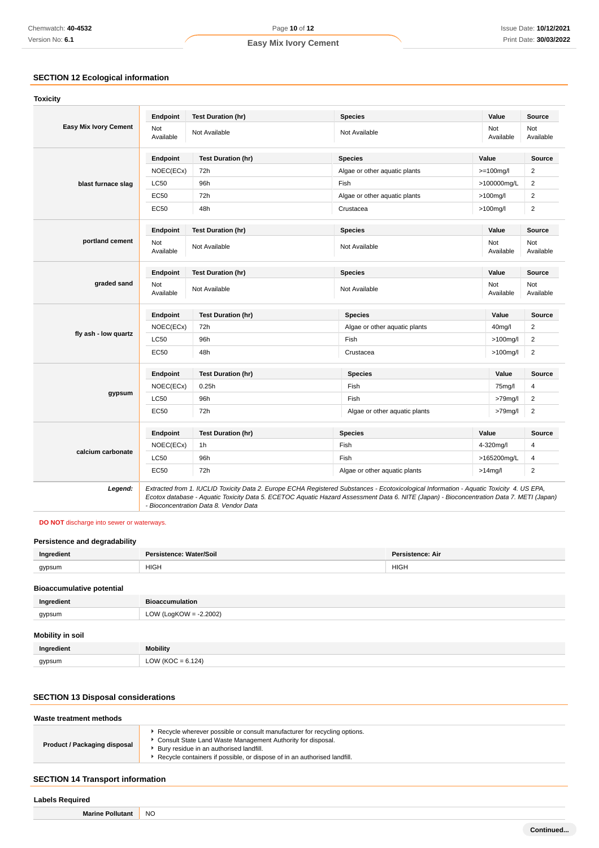# **SECTION 12 Ecological information**

|                              | Endpoint                | <b>Test Duration (hr)</b> | <b>Species</b>                | Value            | <b>Source</b>           |
|------------------------------|-------------------------|---------------------------|-------------------------------|------------------|-------------------------|
| <b>Easy Mix Ivory Cement</b> | <b>Not</b><br>Available | Not Available             | Not Available                 | Not<br>Available | Not<br>Available        |
|                              | Endpoint                | <b>Test Duration (hr)</b> | <b>Species</b>                | Value            | Source                  |
|                              | NOEC(ECx)               | 72h                       | Algae or other aquatic plants | $>=100$ mg/l     | $\overline{2}$          |
| blast furnace slag           | <b>LC50</b>             | 96h                       | Fish                          | >100000mg/L      | $\overline{2}$          |
|                              | EC50                    | 72h                       | Algae or other aquatic plants | $>100$ mg/l      | $\overline{c}$          |
|                              | <b>EC50</b>             | 48h                       | Crustacea                     | >100mg/l         | $\overline{\mathbf{c}}$ |
|                              | Endpoint                | <b>Test Duration (hr)</b> | <b>Species</b>                | Value            | <b>Source</b>           |
| portland cement              | Not<br>Available        | Not Available             | Not Available                 | Not<br>Available | Not<br>Available        |
|                              | Endpoint                | <b>Test Duration (hr)</b> | <b>Species</b>                | Value            | <b>Source</b>           |
| graded sand                  | Not<br>Available        | Not Available             | Not Available                 | Not<br>Available | Not<br>Available        |
|                              | Endpoint                | <b>Test Duration (hr)</b> | <b>Species</b>                | Value            | Source                  |
|                              | NOEC(ECx)               | 72h                       | Algae or other aquatic plants | 40mg/l           | $\boldsymbol{2}$        |
| fly ash - low quartz         | LC50                    | 96h                       | Fish                          | $>100$ mg/l      | $\overline{2}$          |
|                              | <b>EC50</b>             | 48h                       | Crustacea                     | $>100$ mg/l      | $\overline{2}$          |
|                              | Endpoint                | <b>Test Duration (hr)</b> | <b>Species</b>                | Value            | Source                  |
|                              | NOEC(ECx)               | 0.25h                     | Fish                          | 75mg/l           | 4                       |
| gypsum                       | <b>LC50</b>             | 96h                       | Fish                          | $>79$ mg/l       | $\overline{2}$          |
|                              | EC50                    | 72h                       | Algae or other aquatic plants | $>79$ mg/l       | $\overline{c}$          |
|                              | Endpoint                | <b>Test Duration (hr)</b> | <b>Species</b>                | Value            | <b>Source</b>           |
|                              | NOEC(ECx)               | 1h                        | Fish                          | 4-320mg/l        | 4                       |
| calcium carbonate            | LC50                    | 96h                       | Fish                          | >165200mg/L      | 4                       |
|                              | EC50                    | 72h                       | Algae or other aquatic plants | $>14$ mg/l       | $\overline{2}$          |
|                              |                         |                           |                               |                  |                         |

### **DO NOT** discharge into sewer or waterways.

# **Persistence and degradability**

| Ingredient                       | Persistence: Water/Soil | Persistence: Air |
|----------------------------------|-------------------------|------------------|
| gypsum                           | <b>HIGH</b>             | <b>HIGH</b>      |
| <b>Bioaccumulative potential</b> |                         |                  |
| Ingredient                       | <b>Bioaccumulation</b>  |                  |

| <b>Augustis</b>         | <b>PIOGOGHINGIQUOIL</b> |
|-------------------------|-------------------------|
| gypsum                  | LOW (LogKOW = -2.2002)  |
| <b>Mobility in soil</b> |                         |
| Ingredient              | <b>Mobility</b>         |
| gypsum                  | LOW (KOC = $6.124$ )    |

### **SECTION 13 Disposal considerations**

| Waste treatment methods      |                                                                                                                                                                                                                                                                |  |
|------------------------------|----------------------------------------------------------------------------------------------------------------------------------------------------------------------------------------------------------------------------------------------------------------|--|
| Product / Packaging disposal | Recycle wherever possible or consult manufacturer for recycling options.<br>Consult State Land Waste Management Authority for disposal.<br>Bury residue in an authorised landfill.<br>Recycle containers if possible, or dispose of in an authorised landfill. |  |
|                              |                                                                                                                                                                                                                                                                |  |

# **SECTION 14 Transport information**

| Labels Required               |           |  |
|-------------------------------|-----------|--|
| <b>Marine Polluta</b><br>.ant | <b>NO</b> |  |
|                               |           |  |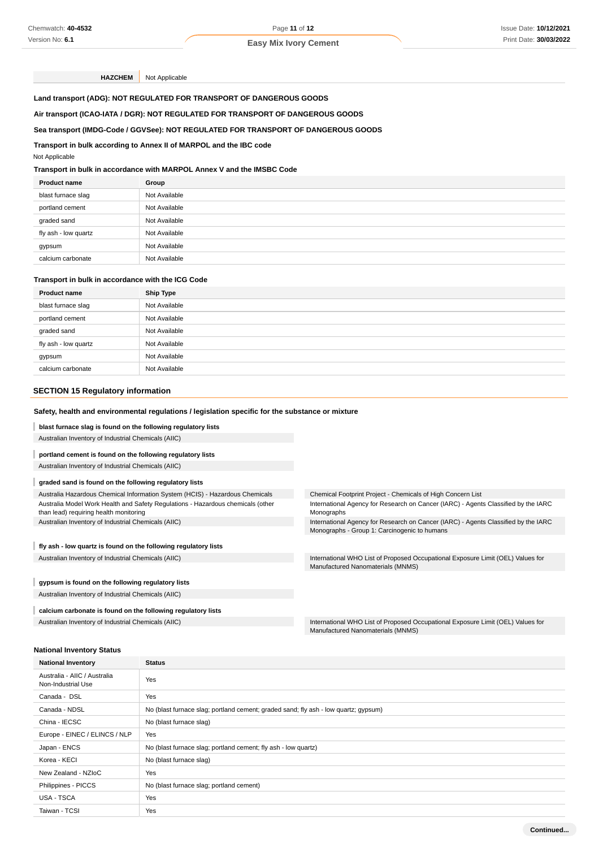**HAZCHEM** Not Applicable

**Land transport (ADG): NOT REGULATED FOR TRANSPORT OF DANGEROUS GOODS**

### **Air transport (ICAO-IATA / DGR): NOT REGULATED FOR TRANSPORT OF DANGEROUS GOODS**

#### **Sea transport (IMDG-Code / GGVSee): NOT REGULATED FOR TRANSPORT OF DANGEROUS GOODS**

#### **Transport in bulk according to Annex II of MARPOL and the IBC code**

#### Not Applicable

### **Transport in bulk in accordance with MARPOL Annex V and the IMSBC Code**

| <b>Product name</b>  | Group         |
|----------------------|---------------|
| blast furnace slag   | Not Available |
| portland cement      | Not Available |
| graded sand          | Not Available |
| fly ash - low quartz | Not Available |
| gypsum               | Not Available |
| calcium carbonate    | Not Available |
|                      |               |

### **Transport in bulk in accordance with the ICG Code**

| <b>Product name</b>  | <b>Ship Type</b> |
|----------------------|------------------|
| blast furnace slag   | Not Available    |
| portland cement      | Not Available    |
| graded sand          | Not Available    |
| fly ash - low quartz | Not Available    |
| gypsum               | Not Available    |
| calcium carbonate    | Not Available    |

### **SECTION 15 Regulatory information**

### **Safety, health and environmental regulations / legislation specific for the substance or mixture**

**blast furnace slag is found on the following regulatory lists**

Australian Inventory of Industrial Chemicals (AIIC)

#### **portland cement is found on the following regulatory lists**

Australian Inventory of Industrial Chemicals (AIIC)

#### **graded sand is found on the following regulatory lists**

Australia Hazardous Chemical Information System (HCIS) - Hazardous Chemicals Australia Model Work Health and Safety Regulations - Hazardous chemicals (other than lead) requiring health monitoring

Australian Inventory of Industrial Chemicals (AIIC)

#### **fly ash - low quartz is found on the following regulatory lists**

#### **gypsum is found on the following regulatory lists**

Australian Inventory of Industrial Chemicals (AIIC)

#### **calcium carbonate is found on the following regulatory lists**

Chemical Footprint Project - Chemicals of High Concern List International Agency for Research on Cancer (IARC) - Agents Classified by the IARC Monographs

International Agency for Research on Cancer (IARC) - Agents Classified by the IARC Monographs - Group 1: Carcinogenic to humans

Australian Inventory of Industrial Chemicals (AIIC) **International WHO List of Proposed Occupational Exposure Limit (OEL)** Values for Manufactured Nanomaterials (MNMS)

Australian Inventory of Industrial Chemicals (AIIC) **International WHO List of Proposed Occupational Exposure Limit (OEL)** Values for Manufactured Nanomaterials (MNMS)

#### **National Inventory Status**

| <b>National Inventory</b>                          | <b>Status</b>                                                                       |
|----------------------------------------------------|-------------------------------------------------------------------------------------|
| Australia - AIIC / Australia<br>Non-Industrial Use | Yes                                                                                 |
| Canada - DSL                                       | Yes                                                                                 |
| Canada - NDSL                                      | No (blast furnace slag; portland cement; graded sand; fly ash - low quartz; gypsum) |
| China - IECSC                                      | No (blast furnace slag)                                                             |
| Europe - EINEC / ELINCS / NLP                      | Yes                                                                                 |
| Japan - ENCS                                       | No (blast furnace slag; portland cement; fly ash - low quartz)                      |
| Korea - KECI                                       | No (blast furnace slag)                                                             |
| New Zealand - NZIoC                                | Yes                                                                                 |
| Philippines - PICCS                                | No (blast furnace slag; portland cement)                                            |
| USA - TSCA                                         | Yes                                                                                 |
| Taiwan - TCSI                                      | Yes                                                                                 |